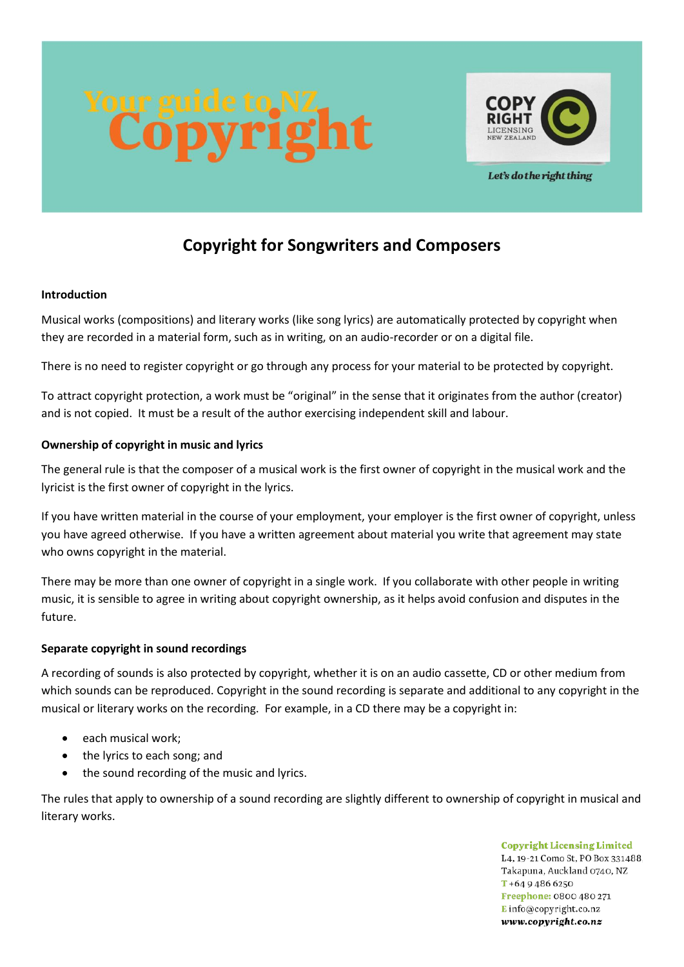

Let's do the right thing

# **Copyright for Songwriters and Composers**

# **Introduction**

Musical works (compositions) and literary works (like song lyrics) are automatically protected by copyright when they are recorded in a material form, such as in writing, on an audio-recorder or on a digital file.

There is no need to register copyright or go through any process for your material to be protected by copyright.

To attract copyright protection, a work must be "original" in the sense that it originates from the author (creator) and is not copied. It must be a result of the author exercising independent skill and labour.

# **Ownership of copyright in music and lyrics**

The general rule is that the composer of a musical work is the first owner of copyright in the musical work and the lyricist is the first owner of copyright in the lyrics.

If you have written material in the course of your employment, your employer is the first owner of copyright, unless you have agreed otherwise. If you have a written agreement about material you write that agreement may state who owns copyright in the material.

There may be more than one owner of copyright in a single work. If you collaborate with other people in writing music, it is sensible to agree in writing about copyright ownership, as it helps avoid confusion and disputes in the future.

# **Separate copyright in sound recordings**

A recording of sounds is also protected by copyright, whether it is on an audio cassette, CD or other medium from which sounds can be reproduced. Copyright in the sound recording is separate and additional to any copyright in the musical or literary works on the recording. For example, in a CD there may be a copyright in:

- each musical work;
- the lyrics to each song; and
- the sound recording of the music and lyrics.

The rules that apply to ownership of a sound recording are slightly different to ownership of copyright in musical and literary works.

> **Copyright Licensing Limited** L4, 19-21 Como St, PO Box 331488, Takapuna, Auckland 0740, NZ  $T + 6494866250$ Freephone: 0800 480 271 Einfo@copyright.co.nz www.copyright.co.nz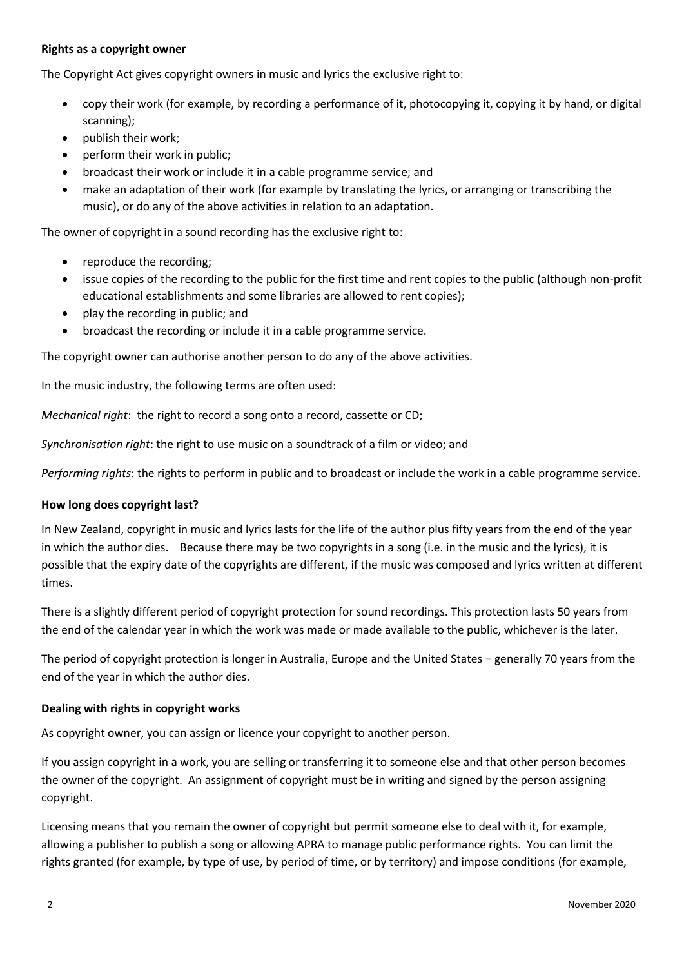# **Rights as a copyright owner**

The Copyright Act gives copyright owners in music and lyrics the exclusive right to:

- copy their work (for example, by recording a performance of it, photocopying it, copying it by hand, or digital scanning);
- publish their work;
- perform their work in public;
- broadcast their work or include it in a cable programme service; and
- make an adaptation of their work (for example by translating the lyrics, or arranging or transcribing the music), or do any of the above activities in relation to an adaptation.

The owner of copyright in a sound recording has the exclusive right to:

- reproduce the recording;
- issue copies of the recording to the public for the first time and rent copies to the public (although non-profit educational establishments and some libraries are allowed to rent copies);
- play the recording in public; and
- broadcast the recording or include it in a cable programme service.

The copyright owner can authorise another person to do any of the above activities.

In the music industry, the following terms are often used:

*Mechanical right*: the right to record a song onto a record, cassette or CD;

*Synchronisation right*: the right to use music on a soundtrack of a film or video; and

*Performing rights*: the rights to perform in public and to broadcast or include the work in a cable programme service.

### **How long does copyright last?**

In New Zealand, copyright in music and lyrics lasts for the life of the author plus fifty years from the end of the year in which the author dies. Because there may be two copyrights in a song (i.e. in the music and the lyrics), it is possible that the expiry date of the copyrights are different, if the music was composed and lyrics written at different times.

There is a slightly different period of copyright protection for sound recordings. This protection lasts 50 years from the end of the calendar year in which the work was made or made available to the public, whichever is the later.

The period of copyright protection is longer in Australia, Europe and the United States − generally 70 years from the end of the year in which the author dies.

### **Dealing with rights in copyright works**

As copyright owner, you can assign or licence your copyright to another person.

If you assign copyright in a work, you are selling or transferring it to someone else and that other person becomes the owner of the copyright. An assignment of copyright must be in writing and signed by the person assigning copyright.

Licensing means that you remain the owner of copyright but permit someone else to deal with it, for example, allowing a publisher to publish a song or allowing APRA to manage public performance rights. You can limit the rights granted (for example, by type of use, by period of time, or by territory) and impose conditions (for example,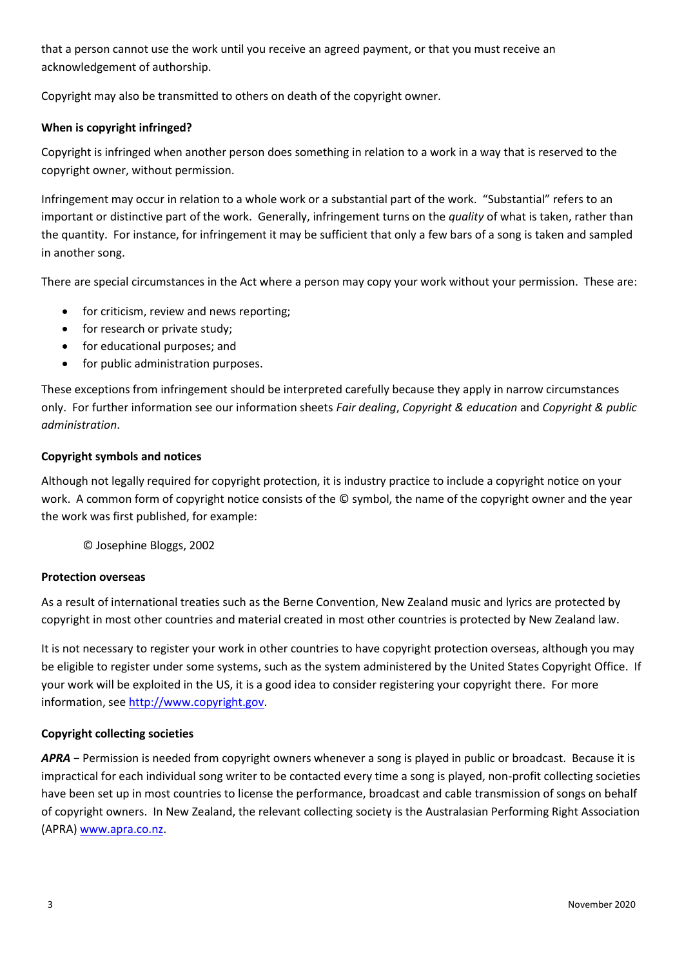that a person cannot use the work until you receive an agreed payment, or that you must receive an acknowledgement of authorship.

Copyright may also be transmitted to others on death of the copyright owner.

# **When is copyright infringed?**

Copyright is infringed when another person does something in relation to a work in a way that is reserved to the copyright owner, without permission.

Infringement may occur in relation to a whole work or a substantial part of the work. "Substantial" refers to an important or distinctive part of the work. Generally, infringement turns on the *quality* of what is taken, rather than the quantity. For instance, for infringement it may be sufficient that only a few bars of a song is taken and sampled in another song.

There are special circumstances in the Act where a person may copy your work without your permission. These are:

- for criticism, review and news reporting;
- for research or private study;
- for educational purposes; and
- for public administration purposes.

These exceptions from infringement should be interpreted carefully because they apply in narrow circumstances only. For further information see our information sheets *Fair dealing*, *Copyright & education* and *Copyright & public administration*.

# **Copyright symbols and notices**

Although not legally required for copyright protection, it is industry practice to include a copyright notice on your work. A common form of copyright notice consists of the © symbol, the name of the copyright owner and the year the work was first published, for example:

© Josephine Bloggs, 2002

### **Protection overseas**

As a result of international treaties such as the Berne Convention, New Zealand music and lyrics are protected by copyright in most other countries and material created in most other countries is protected by New Zealand law.

It is not necessary to register your work in other countries to have copyright protection overseas, although you may be eligible to register under some systems, such as the system administered by the United States Copyright Office. If your work will be exploited in the US, it is a good idea to consider registering your copyright there. For more information, see [http://www.copyright.gov.](http://www.copyright.gov/)

### **Copyright collecting societies**

*APRA* − Permission is needed from copyright owners whenever a song is played in public or broadcast. Because it is impractical for each individual song writer to be contacted every time a song is played, non-profit collecting societies have been set up in most countries to license the performance, broadcast and cable transmission of songs on behalf of copyright owners. In New Zealand, the relevant collecting society is the Australasian Performing Right Association (APRA[\) www.apra.co.nz.](http://www.apra.co.nz/)